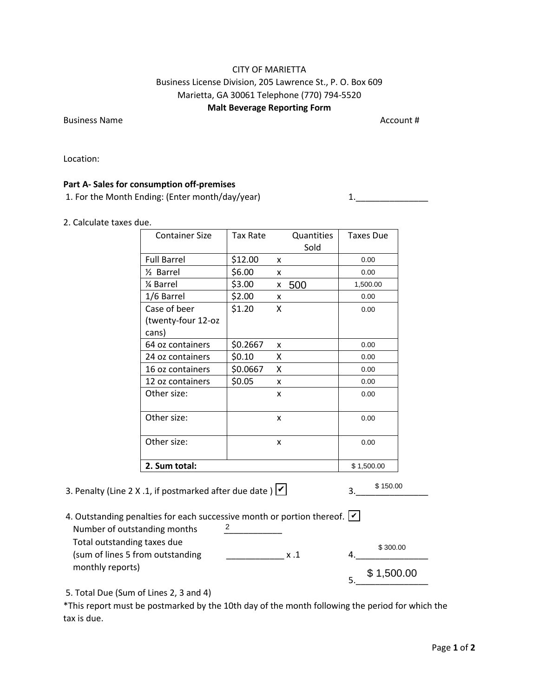## CITY OF MARIETTA Business License Division, 205 Lawrence St., P. O. Box 609 Marietta, GA 30061 Telephone (770) 794-5520 **Malt Beverage Reporting Form**

Business Name Account #

Location:

## **Part A- Sales for consumption off-premises**

1. For the Month Ending: (Enter month/day/year) 1. 1. 1. 2012 1.

## 2. Calculate taxes due.

| <b>Container Size</b>                                                       | Tax Rate | Quantities<br>Sold | <b>Taxes Due</b> |  |
|-----------------------------------------------------------------------------|----------|--------------------|------------------|--|
| <b>Full Barrel</b>                                                          | \$12.00  | x                  | 0.00             |  |
| 1/ <sub>2</sub> Barrel                                                      | \$6.00   | x                  | 0.00             |  |
| 1⁄4 Barrel                                                                  | \$3.00   | 500<br>X.          | 1,500.00         |  |
| 1/6 Barrel                                                                  | \$2.00   | x                  | 0.00             |  |
| Case of beer                                                                | \$1.20   | X                  | 0.00             |  |
| (twenty-four 12-oz                                                          |          |                    |                  |  |
| cans)                                                                       |          |                    |                  |  |
| 64 oz containers                                                            | \$0.2667 | x                  | 0.00             |  |
| 24 oz containers                                                            | \$0.10   | x                  | 0.00             |  |
| 16 oz containers                                                            | \$0.0667 | Χ                  | 0.00             |  |
| 12 oz containers                                                            | \$0.05   | X                  | 0.00             |  |
| Other size:                                                                 |          | x                  | 0.00             |  |
| Other size:                                                                 |          | X                  | 0.00             |  |
| Other size:                                                                 |          | X                  | 0.00             |  |
| 2. Sum total:                                                               |          |                    | \$1,500.00       |  |
| .1, if postmarked after due date ) $\vee$                                   |          |                    | \$150.00<br>3.   |  |
| alties for each successive month or portion thereof. $ v $<br>anding months | 2        |                    |                  |  |
| g taxes due<br>om outstanding                                               |          | x.1                | \$300.00<br>4.   |  |
|                                                                             |          |                    | \$1,500.00       |  |

3. Penalty (Line 2 X .1, if postmarked after due date )  $\vee$ 

| 4. Outstanding penalties for each successive month or portion thereof. $ v $ |             |            |
|------------------------------------------------------------------------------|-------------|------------|
| Number of outstanding months                                                 |             |            |
| Total outstanding taxes due<br>(sum of lines 5 from outstanding              | $x \cdot 1$ | \$300.00   |
| monthly reports)                                                             |             | \$1,500.00 |
|                                                                              |             |            |

5. Total Due (Sum of Lines 2, 3 and 4)

\*This report must be postmarked by the 10th day of the month following the period for which the tax is due.